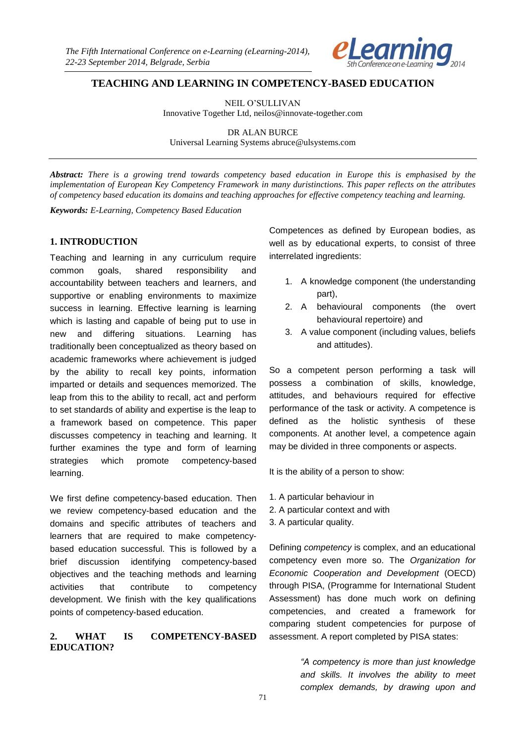

# **TEACHING AND LEARNING IN COMPETENCY-BASED EDUCATION**

NEIL O'SULLIVAN Innovative Together Ltd, neilos@innovate-together.com

DR ALAN BURCE Universal Learning Systems abruce@ulsystems.com

*Abstract: There is a growing trend towards competency based education in Europe this is emphasised by the implementation of European Key Competency Framework in many duristinctions. This paper reflects on the attributes of competency based education its domains and teaching approaches for effective competency teaching and learning.*

*Keywords: E-Learning, Competency Based Education*

### **1. INTRODUCTION**

Teaching and learning in any curriculum require common goals, shared responsibility and accountability between teachers and learners, and supportive or enabling environments to maximize success in learning. Effective learning is learning which is lasting and capable of being put to use in new and differing situations. Learning has traditionally been conceptualized as theory based on academic frameworks where achievement is judged by the ability to recall key points, information imparted or details and sequences memorized. The leap from this to the ability to recall, act and perform to set standards of ability and expertise is the leap to a framework based on competence. This paper discusses competency in teaching and learning. It further examines the type and form of learning strategies which promote competency-based learning.

We first define competency-based education. Then we review competency-based education and the domains and specific attributes of teachers and learners that are required to make competencybased education successful. This is followed by a brief discussion identifying competency-based objectives and the teaching methods and learning activities that contribute to competency development. We finish with the key qualifications points of competency-based education.

#### **2. WHAT IS COMPETENCY-BASED EDUCATION?**

Competences as defined by European bodies, as well as by educational experts, to consist of three interrelated ingredients:

- 1. A knowledge component (the understanding part),
- 2. A behavioural components (the overt behavioural repertoire) and
- 3. A value component (including values, beliefs and attitudes).

So a competent person performing a task will possess a combination of skills, knowledge, attitudes, and behaviours required for effective performance of the task or activity. A competence is defined as the holistic synthesis of these components. At another level, a competence again may be divided in three components or aspects.

It is the ability of a person to show:

- 1. A particular behaviour in
- 2. A particular context and with
- 3. A particular quality.

Defining *competency* is complex, and an educational competency even more so. The *Organization for Economic Cooperation and Development* (OECD) through PISA, (Programme for International Student Assessment) has done much work on defining competencies, and created a framework for comparing student competencies for purpose of assessment. A report completed by PISA states:

> *"A competency is more than just knowledge and skills. It involves the ability to meet complex demands, by drawing upon and*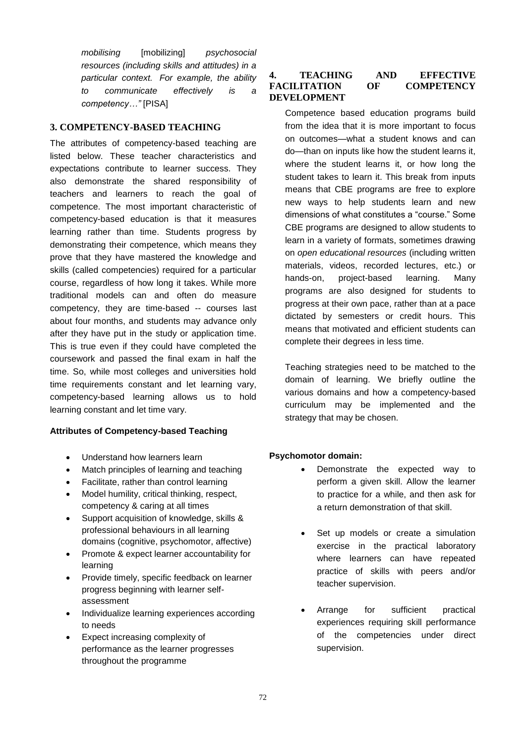*mobilising* [mobilizing] *psychosocial resources (including skills and attitudes) in a particular context. For example, the ability to communicate effectively is a competency…"* [PISA]

# **3. COMPETENCY-BASED TEACHING**

The attributes of competency-based teaching are listed below. These teacher characteristics and expectations contribute to learner success. They also demonstrate the shared responsibility of teachers and learners to reach the goal of competence. The most important characteristic of competency-based education is that it measures learning rather than time. Students progress by demonstrating their competence, which means they prove that they have mastered the knowledge and skills (called competencies) required for a particular course, regardless of how long it takes. While more traditional models can and often do measure competency, they are time-based -- courses last about four months, and students may advance only after they have put in the study or application time. This is true even if they could have completed the coursework and passed the final exam in half the time. So, while most colleges and universities hold time requirements constant and let learning vary, competency-based learning allows us to hold learning constant and let time vary.

# **Attributes of Competency-based Teaching**

- Understand how learners learn
- Match principles of learning and teaching
- Facilitate, rather than control learning
- Model humility, critical thinking, respect, competency & caring at all times
- Support acquisition of knowledge, skills & professional behaviours in all learning domains (cognitive, psychomotor, affective)
- Promote & expect learner accountability for learning
- Provide timely, specific feedback on learner progress beginning with learner selfassessment
- Individualize learning experiences according to needs
- Expect increasing complexity of performance as the learner progresses throughout the programme

### **4. TEACHING AND EFFECTIVE FACILITATION OF COMPETENCY DEVELOPMENT**

Competence based education programs build from the idea that it is more important to focus on outcomes—what a student knows and can do—than on inputs like how the student learns it, where the student learns it, or how long the student takes to learn it. This break from inputs means that CBE programs are free to explore new ways to help students learn and new dimensions of what constitutes a "course." Some CBE programs are designed to allow students to learn in a variety of formats, sometimes drawing on *open educational resources* (including written materials, videos, recorded lectures, etc.) or hands-on, project-based learning. Many programs are also designed for students to progress at their own pace, rather than at a pace dictated by semesters or credit hours. This means that motivated and efficient students can complete their degrees in less time.

Teaching strategies need to be matched to the domain of learning. We briefly outline the various domains and how a competency-based curriculum may be implemented and the strategy that may be chosen.

# **Psychomotor domain:**

- Demonstrate the expected way to perform a given skill. Allow the learner to practice for a while, and then ask for a return demonstration of that skill.
- Set up models or create a simulation exercise in the practical laboratory where learners can have repeated practice of skills with peers and/or teacher supervision.
- Arrange for sufficient practical experiences requiring skill performance of the competencies under direct supervision.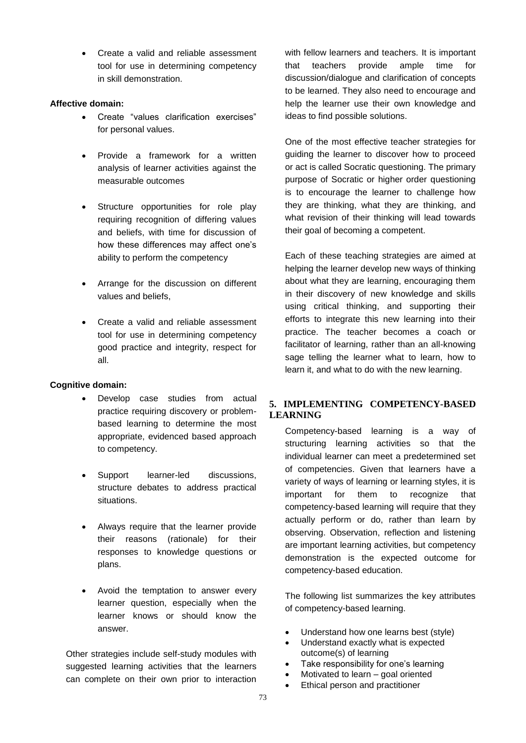Create a valid and reliable assessment tool for use in determining competency in skill demonstration.

### **Affective domain:**

- Create "values clarification exercises" for personal values.
- Provide a framework for a written analysis of learner activities against the measurable outcomes
- Structure opportunities for role play requiring recognition of differing values and beliefs, with time for discussion of how these differences may affect one's ability to perform the competency
- Arrange for the discussion on different values and beliefs,
- Create a valid and reliable assessment tool for use in determining competency good practice and integrity, respect for all.

# **Cognitive domain:**

- Develop case studies from actual practice requiring discovery or problembased learning to determine the most appropriate, evidenced based approach to competency.
- Support learner-led discussions, structure debates to address practical situations.
- Always require that the learner provide their reasons (rationale) for their responses to knowledge questions or plans.
- Avoid the temptation to answer every learner question, especially when the learner knows or should know the answer.

Other strategies include self-study modules with suggested learning activities that the learners can complete on their own prior to interaction with fellow learners and teachers. It is important that teachers provide ample time for discussion/dialogue and clarification of concepts to be learned. They also need to encourage and help the learner use their own knowledge and ideas to find possible solutions.

One of the most effective teacher strategies for guiding the learner to discover how to proceed or act is called Socratic questioning. The primary purpose of Socratic or higher order questioning is to encourage the learner to challenge how they are thinking, what they are thinking, and what revision of their thinking will lead towards their goal of becoming a competent.

Each of these teaching strategies are aimed at helping the learner develop new ways of thinking about what they are learning, encouraging them in their discovery of new knowledge and skills using critical thinking, and supporting their efforts to integrate this new learning into their practice. The teacher becomes a coach or facilitator of learning, rather than an all-knowing sage telling the learner what to learn, how to learn it, and what to do with the new learning.

# **5. IMPLEMENTING COMPETENCY-BASED LEARNING**

Competency-based learning is a way of structuring learning activities so that the individual learner can meet a predetermined set of competencies. Given that learners have a variety of ways of learning or learning styles, it is important for them to recognize that competency-based learning will require that they actually perform or do, rather than learn by observing. Observation, reflection and listening are important learning activities, but competency demonstration is the expected outcome for competency-based education.

The following list summarizes the key attributes of competency-based learning.

- Understand how one learns best (style)
- Understand exactly what is expected outcome(s) of learning
- Take responsibility for one's learning
- Motivated to learn goal oriented
- Ethical person and practitioner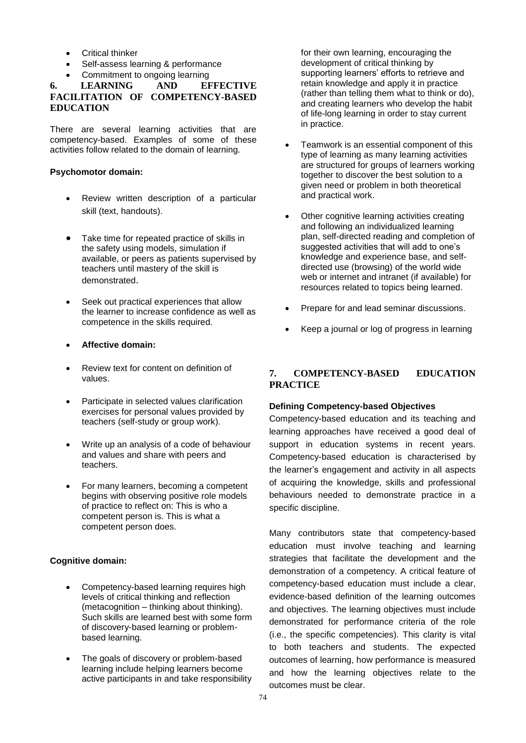- **•** Critical thinker
- Self-assess learning & performance
- 

#### Commitment to ongoing learning<br>
LEARNING AND EFFECTIVE **6.** LEARNING **FACILITATION OF COMPETENCY-BASED EDUCATION**

There are several learning activities that are competency-based. Examples of some of these activities follow related to the domain of learning.

#### **Psychomotor domain:**

- Review written description of a particular skill (text, handouts).
- Take time for repeated practice of skills in the safety using models, simulation if available, or peers as patients supervised by teachers until mastery of the skill is demonstrated.
- Seek out practical experiences that allow the learner to increase confidence as well as competence in the skills required.
- **Affective domain:**
- Review text for content on definition of values.
- Participate in selected values clarification exercises for personal values provided by teachers (self-study or group work).
- Write up an analysis of a code of behaviour and values and share with peers and teachers.
- For many learners, becoming a competent begins with observing positive role models of practice to reflect on: This is who a competent person is. This is what a competent person does.

# **Cognitive domain:**

- Competency-based learning requires high levels of critical thinking and reflection (metacognition – thinking about thinking). Such skills are learned best with some form of discovery-based learning or problembased learning.
- The goals of discovery or problem-based learning include helping learners become active participants in and take responsibility

for their own learning, encouraging the development of critical thinking by supporting learners' efforts to retrieve and retain knowledge and apply it in practice (rather than telling them what to think or do), and creating learners who develop the habit of life-long learning in order to stay current in practice.

- Teamwork is an essential component of this type of learning as many learning activities are structured for groups of learners working together to discover the best solution to a given need or problem in both theoretical and practical work.
- Other cognitive learning activities creating and following an individualized learning plan, self-directed reading and completion of suggested activities that will add to one's knowledge and experience base, and selfdirected use (browsing) of the world wide web or internet and intranet (if available) for resources related to topics being learned.
- Prepare for and lead seminar discussions.
- Keep a journal or log of progress in learning

# **7. COMPETENCY-BASED EDUCATION PRACTICE**

#### **Defining Competency-based Objectives**

Competency-based education and its teaching and learning approaches have received a good deal of support in education systems in recent years. Competency-based education is characterised by the learner's engagement and activity in all aspects of acquiring the knowledge, skills and professional behaviours needed to demonstrate practice in a specific discipline.

Many contributors state that competency-based education must involve teaching and learning strategies that facilitate the development and the demonstration of a competency. A critical feature of competency-based education must include a clear, evidence-based definition of the learning outcomes and objectives. The learning objectives must include demonstrated for performance criteria of the role (i.e., the specific competencies). This clarity is vital to both teachers and students. The expected outcomes of learning, how performance is measured and how the learning objectives relate to the outcomes must be clear.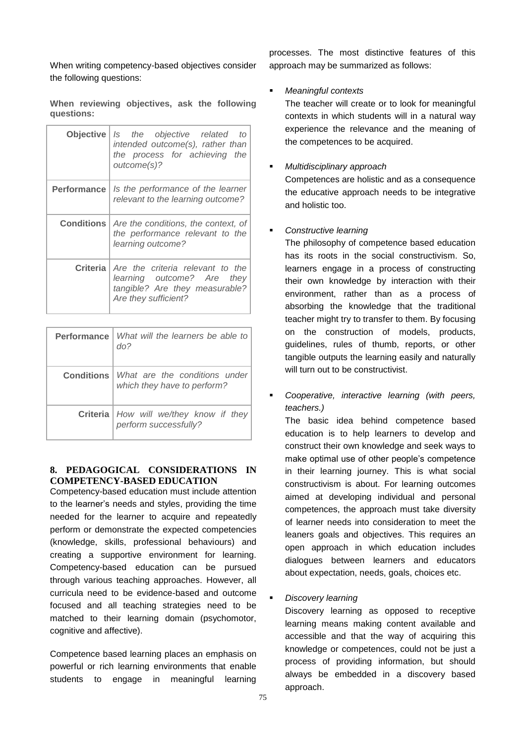When writing competency-based objectives consider the following questions:

**When reviewing objectives, ask the following questions:**

| Objective          | Is the objective related to<br>intended outcome(s), rather than<br>the process for achieving the<br>outcome(s)?                          |
|--------------------|------------------------------------------------------------------------------------------------------------------------------------------|
| <b>Performance</b> | Is the performance of the learner<br>relevant to the learning outcome?                                                                   |
|                    | <b>Conditions</b>   Are the conditions, the context, of<br>the performance relevant to the<br>learning outcome?                          |
|                    | <b>Criteria</b> Are the criteria relevant to the<br>learning outcome? Are they<br>tangible? Are they measurable?<br>Are they sufficient? |

| <b>Performance</b>   What will the learners be able to  <br>$d\Omega$            |
|----------------------------------------------------------------------------------|
| <b>Conditions</b>   What are the conditions under<br>which they have to perform? |
| <b>Criteria</b>   How will we/they know if they<br>perform successfully?         |

### **8. PEDAGOGICAL CONSIDERATIONS IN COMPETENCY-BASED EDUCATION**

Competency-based education must include attention to the learner's needs and styles, providing the time needed for the learner to acquire and repeatedly perform or demonstrate the expected competencies (knowledge, skills, professional behaviours) and creating a supportive environment for learning. Competency-based education can be pursued through various teaching approaches. However, all curricula need to be evidence-based and outcome focused and all teaching strategies need to be matched to their learning domain (psychomotor, cognitive and affective).

Competence based learning places an emphasis on powerful or rich learning environments that enable students to engage in meaningful learning

processes. The most distinctive features of this approach may be summarized as follows:

# *Meaningful contexts*

The teacher will create or to look for meaningful contexts in which students will in a natural way experience the relevance and the meaning of the competences to be acquired.

### *Multidisciplinary approach*

Competences are holistic and as a consequence the educative approach needs to be integrative and holistic too.

### *Constructive learning*

The philosophy of competence based education has its roots in the social constructivism. So, learners engage in a process of constructing their own knowledge by interaction with their environment, rather than as a process of absorbing the knowledge that the traditional teacher might try to transfer to them. By focusing on the construction of models, products, guidelines, rules of thumb, reports, or other tangible outputs the learning easily and naturally will turn out to be constructivist.

 *Cooperative, interactive learning (with peers, teachers.)* 

The basic idea behind competence based education is to help learners to develop and construct their own knowledge and seek ways to make optimal use of other people's competence in their learning journey. This is what social constructivism is about. For learning outcomes aimed at developing individual and personal competences, the approach must take diversity of learner needs into consideration to meet the leaners goals and objectives. This requires an open approach in which education includes dialogues between learners and educators about expectation, needs, goals, choices etc.

# *Discovery learning*

Discovery learning as opposed to receptive learning means making content available and accessible and that the way of acquiring this knowledge or competences, could not be just a process of providing information, but should always be embedded in a discovery based approach.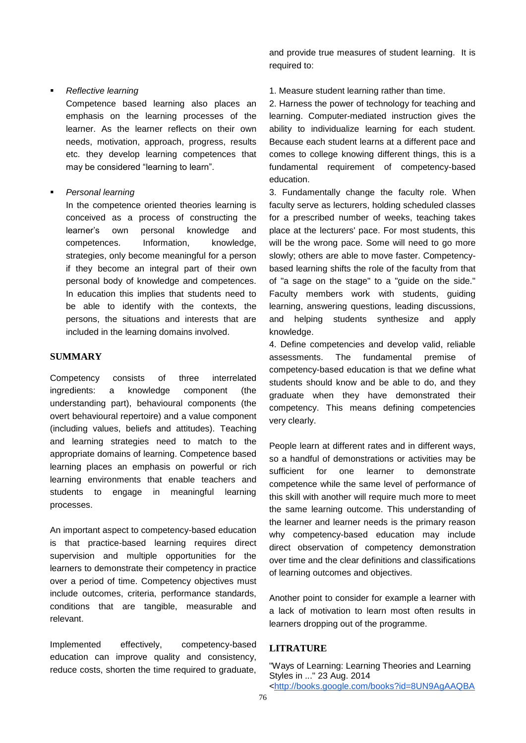#### *Reflective learning*

Competence based learning also places an emphasis on the learning processes of the learner. As the learner reflects on their own needs, motivation, approach, progress, results etc. they develop learning competences that may be considered "learning to learn".

#### *Personal learning*

In the competence oriented theories learning is conceived as a process of constructing the learner's own personal knowledge and competences. Information, knowledge, strategies, only become meaningful for a person if they become an integral part of their own personal body of knowledge and competences. In education this implies that students need to be able to identify with the contexts, the persons, the situations and interests that are included in the learning domains involved.

#### **SUMMARY**

Competency consists of three interrelated ingredients: a knowledge component (the understanding part), behavioural components (the overt behavioural repertoire) and a value component (including values, beliefs and attitudes). Teaching and learning strategies need to match to the appropriate domains of learning. Competence based learning places an emphasis on powerful or rich learning environments that enable teachers and students to engage in meaningful learning processes.

An important aspect to competency-based education is that practice-based learning requires direct supervision and multiple opportunities for the learners to demonstrate their competency in practice over a period of time. Competency objectives must include outcomes, criteria, performance standards, conditions that are tangible, measurable and relevant.

Implemented effectively, competency-based education can improve quality and consistency, reduce costs, shorten the time required to graduate,

and provide true measures of student learning. It is required to:

1. Measure student learning rather than time.

2. Harness the power of technology for teaching and learning. Computer-mediated instruction gives the ability to individualize learning for each student. Because each student learns at a different pace and comes to college knowing different things, this is a fundamental requirement of competency-based education.

3. Fundamentally change the faculty role. When faculty serve as lecturers, holding scheduled classes for a prescribed number of weeks, teaching takes place at the lecturers' pace. For most students, this will be the wrong pace. Some will need to go more slowly; others are able to move faster. Competencybased learning shifts the role of the faculty from that of "a sage on the stage" to a "guide on the side." Faculty members work with students, guiding learning, answering questions, leading discussions, and helping students synthesize and apply knowledge.

4. Define competencies and develop valid, reliable assessments. The fundamental premise of competency-based education is that we define what students should know and be able to do, and they graduate when they have demonstrated their competency. This means defining competencies very clearly.

People learn at different rates and in different ways, so a handful of demonstrations or activities may be sufficient for one learner to demonstrate competence while the same level of performance of this skill with another will require much more to meet the same learning outcome. This understanding of the learner and learner needs is the primary reason why competency-based education may include direct observation of competency demonstration over time and the clear definitions and classifications of learning outcomes and objectives.

Another point to consider for example a learner with a lack of motivation to learn most often results in learners dropping out of the programme.

#### **LITRATURE**

"Ways of Learning: Learning Theories and Learning Styles in ..." 23 Aug. 2014 [<http://books.google.com/books?id=8UN9AgAAQBA](http://books.google.com/books?id=8UN9AgAAQBAJ&pg=PR10&lpg=PR10&dq=.+%E2%80%9CEffective+learning+is+learning+which+is+lasting+and+capable+of+being+put+to+use+in+new+and+differing+situations.%E2%80%9D&source=bl&ots=mK_1WJPE-k&sig=aGKDvFb1l_RJCGj2uoMGv75Us9o)